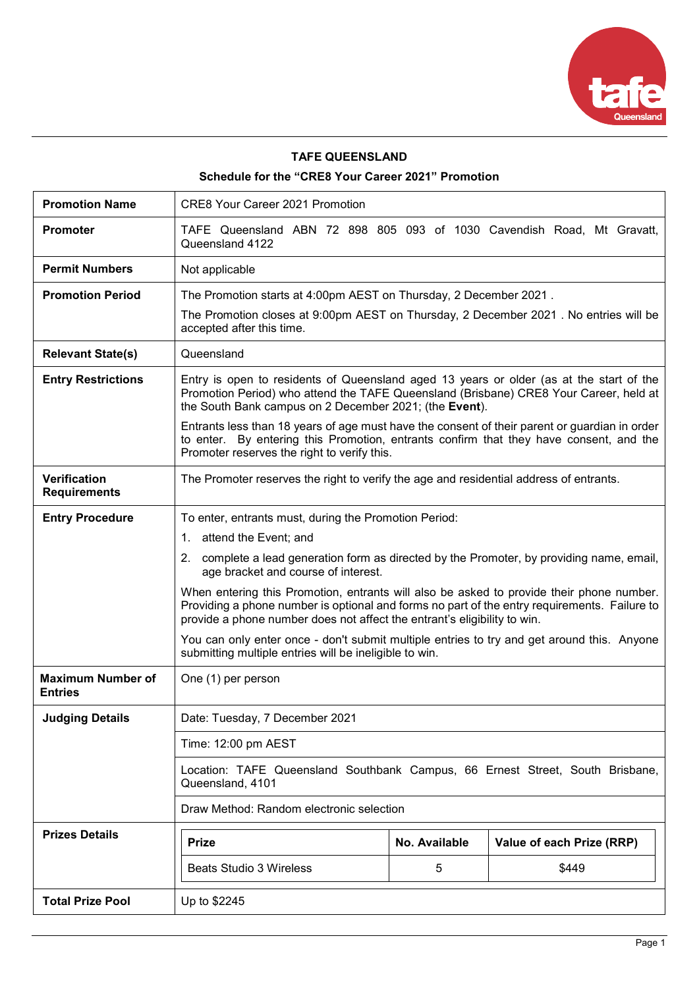

# **TAFE QUEENSLAND**

# **Schedule for the "CRE8 Your Career 2021" Promotion**

| <b>Promotion Name</b>                      | <b>CRE8 Your Career 2021 Promotion</b>                                                                                                                                                                                                                                                                                                                                                                                                                                                                                                                                                                                                                |                    |                                    |
|--------------------------------------------|-------------------------------------------------------------------------------------------------------------------------------------------------------------------------------------------------------------------------------------------------------------------------------------------------------------------------------------------------------------------------------------------------------------------------------------------------------------------------------------------------------------------------------------------------------------------------------------------------------------------------------------------------------|--------------------|------------------------------------|
| <b>Promoter</b>                            | TAFE Queensland ABN 72 898 805 093 of 1030 Cavendish Road, Mt Gravatt,<br>Queensland 4122                                                                                                                                                                                                                                                                                                                                                                                                                                                                                                                                                             |                    |                                    |
| <b>Permit Numbers</b>                      | Not applicable                                                                                                                                                                                                                                                                                                                                                                                                                                                                                                                                                                                                                                        |                    |                                    |
| <b>Promotion Period</b>                    | The Promotion starts at 4:00pm AEST on Thursday, 2 December 2021.<br>The Promotion closes at 9:00pm AEST on Thursday, 2 December 2021. No entries will be<br>accepted after this time.                                                                                                                                                                                                                                                                                                                                                                                                                                                                |                    |                                    |
| <b>Relevant State(s)</b>                   | Queensland                                                                                                                                                                                                                                                                                                                                                                                                                                                                                                                                                                                                                                            |                    |                                    |
| <b>Entry Restrictions</b>                  | Entry is open to residents of Queensland aged 13 years or older (as at the start of the<br>Promotion Period) who attend the TAFE Queensland (Brisbane) CRE8 Your Career, held at<br>the South Bank campus on 2 December 2021; (the Event).<br>Entrants less than 18 years of age must have the consent of their parent or guardian in order<br>to enter. By entering this Promotion, entrants confirm that they have consent, and the<br>Promoter reserves the right to verify this.                                                                                                                                                                  |                    |                                    |
| <b>Verification</b><br><b>Requirements</b> | The Promoter reserves the right to verify the age and residential address of entrants.                                                                                                                                                                                                                                                                                                                                                                                                                                                                                                                                                                |                    |                                    |
| <b>Entry Procedure</b>                     | To enter, entrants must, during the Promotion Period:<br>1. attend the Event; and<br>2. complete a lead generation form as directed by the Promoter, by providing name, email,<br>age bracket and course of interest.<br>When entering this Promotion, entrants will also be asked to provide their phone number.<br>Providing a phone number is optional and forms no part of the entry requirements. Failure to<br>provide a phone number does not affect the entrant's eligibility to win.<br>You can only enter once - don't submit multiple entries to try and get around this. Anyone<br>submitting multiple entries will be ineligible to win. |                    |                                    |
| <b>Maximum Number of</b><br><b>Entries</b> | One (1) per person                                                                                                                                                                                                                                                                                                                                                                                                                                                                                                                                                                                                                                    |                    |                                    |
| <b>Judging Details</b>                     | Date: Tuesday, 7 December 2021                                                                                                                                                                                                                                                                                                                                                                                                                                                                                                                                                                                                                        |                    |                                    |
|                                            | Time: 12:00 pm AEST                                                                                                                                                                                                                                                                                                                                                                                                                                                                                                                                                                                                                                   |                    |                                    |
|                                            | Location: TAFE Queensland Southbank Campus, 66 Ernest Street, South Brisbane,<br>Queensland, 4101                                                                                                                                                                                                                                                                                                                                                                                                                                                                                                                                                     |                    |                                    |
|                                            | Draw Method: Random electronic selection                                                                                                                                                                                                                                                                                                                                                                                                                                                                                                                                                                                                              |                    |                                    |
| <b>Prizes Details</b>                      | <b>Prize</b><br><b>Beats Studio 3 Wireless</b>                                                                                                                                                                                                                                                                                                                                                                                                                                                                                                                                                                                                        | No. Available<br>5 | Value of each Prize (RRP)<br>\$449 |
| <b>Total Prize Pool</b>                    | Up to \$2245                                                                                                                                                                                                                                                                                                                                                                                                                                                                                                                                                                                                                                          |                    |                                    |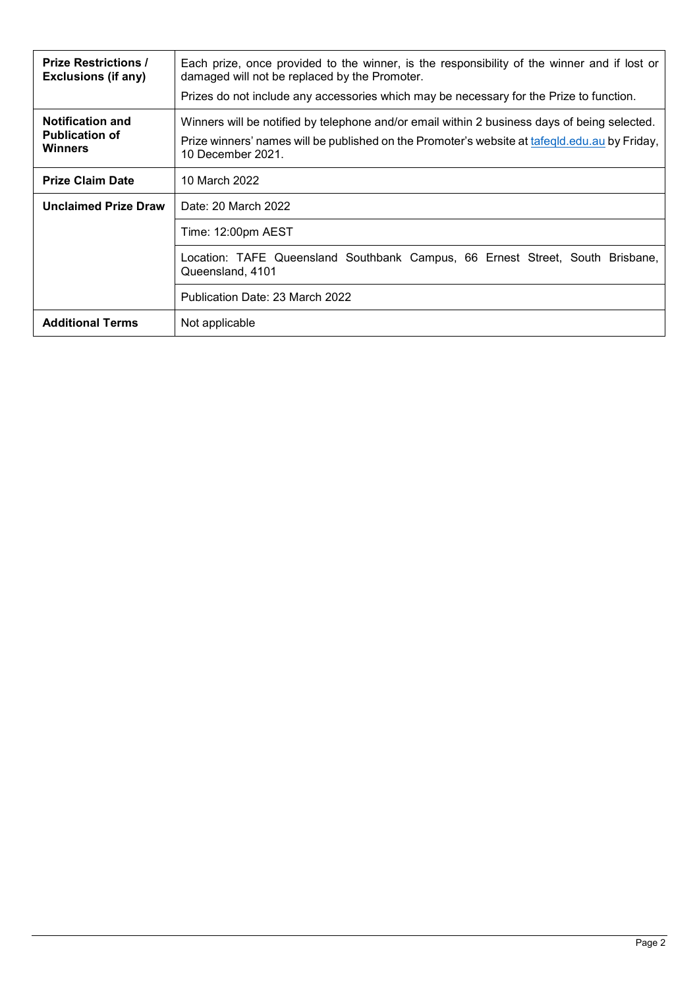| <b>Prize Restrictions /</b><br><b>Exclusions (if any)</b>          | Each prize, once provided to the winner, is the responsibility of the winner and if lost or<br>damaged will not be replaced by the Promoter. |  |  |
|--------------------------------------------------------------------|----------------------------------------------------------------------------------------------------------------------------------------------|--|--|
|                                                                    | Prizes do not include any accessories which may be necessary for the Prize to function.                                                      |  |  |
| <b>Notification and</b><br><b>Publication of</b><br><b>Winners</b> | Winners will be notified by telephone and/or email within 2 business days of being selected.                                                 |  |  |
|                                                                    | Prize winners' names will be published on the Promoter's website at tafeqld.edu.au by Friday,<br>10 December 2021.                           |  |  |
| <b>Prize Claim Date</b>                                            | 10 March 2022                                                                                                                                |  |  |
| <b>Unclaimed Prize Draw</b>                                        | Date: 20 March 2022                                                                                                                          |  |  |
|                                                                    | Time: 12:00pm AEST                                                                                                                           |  |  |
|                                                                    | Location: TAFE Queensland Southbank Campus, 66 Ernest Street, South Brisbane,<br>Queensland, 4101                                            |  |  |
|                                                                    | Publication Date: 23 March 2022                                                                                                              |  |  |
| <b>Additional Terms</b>                                            | Not applicable                                                                                                                               |  |  |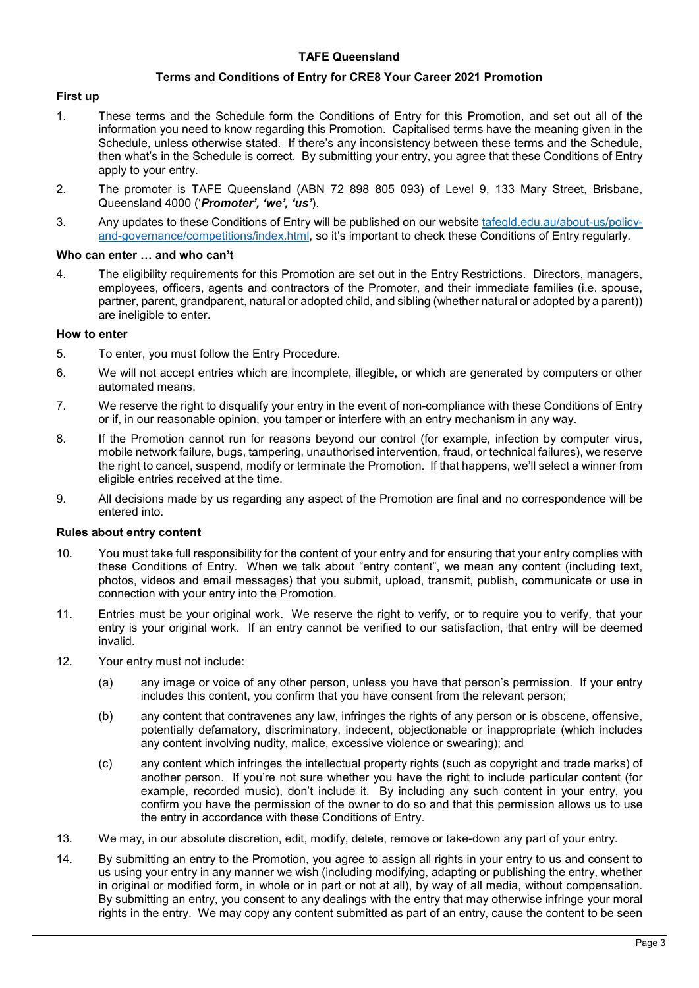## **TAFE Queensland**

#### **Terms and Conditions of Entry for CRE8 Your Career 2021 Promotion**

### **First up**

- 1. These terms and the Schedule form the Conditions of Entry for this Promotion, and set out all of the information you need to know regarding this Promotion. Capitalised terms have the meaning given in the Schedule, unless otherwise stated. If there's any inconsistency between these terms and the Schedule, then what's in the Schedule is correct. By submitting your entry, you agree that these Conditions of Entry apply to your entry.
- 2. The promoter is TAFE Queensland (ABN 72 898 805 093) of Level 9, 133 Mary Street, Brisbane, Queensland 4000 ('*Promoter', 'we', 'us'*).
- 3. Any updates to these Conditions of Entry will be published on our website [tafeqld.edu.au/about-us/policy](https://tafeqld.edu.au/about-us/policy-and-governance/competitions/index.html)[and-governance/competitions/index.html,](https://tafeqld.edu.au/about-us/policy-and-governance/competitions/index.html) so it's important to check these Conditions of Entry regularly.

#### **Who can enter … and who can't**

4. The eligibility requirements for this Promotion are set out in the Entry Restrictions. Directors, managers, employees, officers, agents and contractors of the Promoter, and their immediate families (i.e. spouse, partner, parent, grandparent, natural or adopted child, and sibling (whether natural or adopted by a parent)) are ineligible to enter.

#### **How to enter**

- 5. To enter, you must follow the Entry Procedure.
- 6. We will not accept entries which are incomplete, illegible, or which are generated by computers or other automated means.
- 7. We reserve the right to disqualify your entry in the event of non-compliance with these Conditions of Entry or if, in our reasonable opinion, you tamper or interfere with an entry mechanism in any way.
- 8. If the Promotion cannot run for reasons beyond our control (for example, infection by computer virus, mobile network failure, bugs, tampering, unauthorised intervention, fraud, or technical failures), we reserve the right to cancel, suspend, modify or terminate the Promotion. If that happens, we'll select a winner from eligible entries received at the time.
- 9. All decisions made by us regarding any aspect of the Promotion are final and no correspondence will be entered into.

### **Rules about entry content**

- 10. You must take full responsibility for the content of your entry and for ensuring that your entry complies with these Conditions of Entry. When we talk about "entry content", we mean any content (including text, photos, videos and email messages) that you submit, upload, transmit, publish, communicate or use in connection with your entry into the Promotion.
- 11. Entries must be your original work. We reserve the right to verify, or to require you to verify, that your entry is your original work. If an entry cannot be verified to our satisfaction, that entry will be deemed invalid.
- 12. Your entry must not include:
	- (a) any image or voice of any other person, unless you have that person's permission. If your entry includes this content, you confirm that you have consent from the relevant person;
	- (b) any content that contravenes any law, infringes the rights of any person or is obscene, offensive, potentially defamatory, discriminatory, indecent, objectionable or inappropriate (which includes any content involving nudity, malice, excessive violence or swearing); and
	- (c) any content which infringes the intellectual property rights (such as copyright and trade marks) of another person. If you're not sure whether you have the right to include particular content (for example, recorded music), don't include it. By including any such content in your entry, you confirm you have the permission of the owner to do so and that this permission allows us to use the entry in accordance with these Conditions of Entry.
- 13. We may, in our absolute discretion, edit, modify, delete, remove or take-down any part of your entry.
- 14. By submitting an entry to the Promotion, you agree to assign all rights in your entry to us and consent to us using your entry in any manner we wish (including modifying, adapting or publishing the entry, whether in original or modified form, in whole or in part or not at all), by way of all media, without compensation. By submitting an entry, you consent to any dealings with the entry that may otherwise infringe your moral rights in the entry. We may copy any content submitted as part of an entry, cause the content to be seen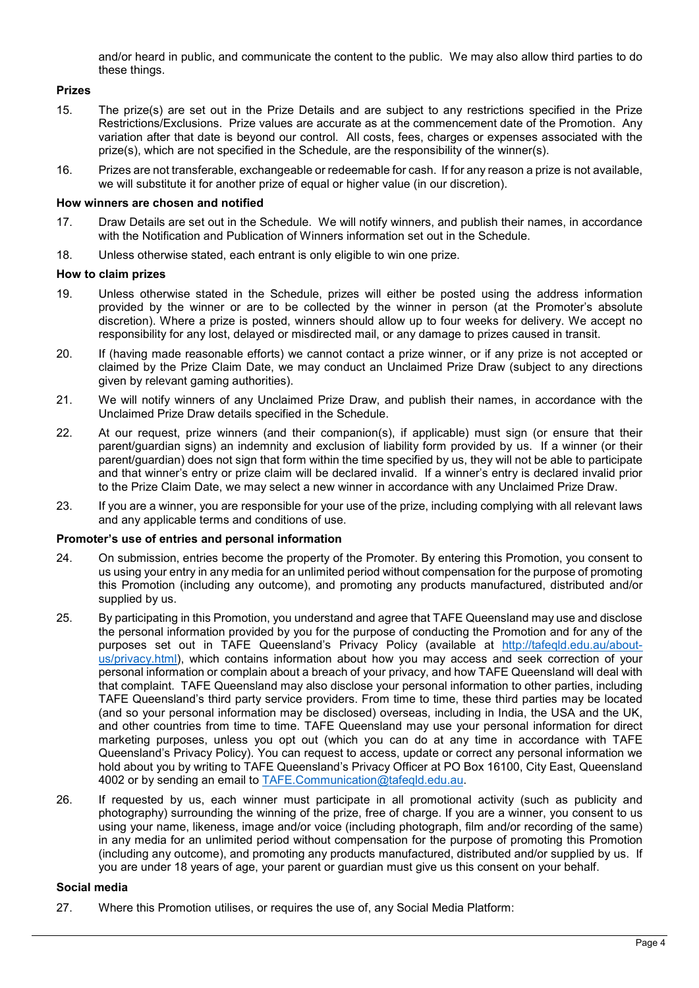and/or heard in public, and communicate the content to the public. We may also allow third parties to do these things.

# **Prizes**

- 15. The prize(s) are set out in the Prize Details and are subject to any restrictions specified in the Prize Restrictions/Exclusions. Prize values are accurate as at the commencement date of the Promotion. Any variation after that date is beyond our control. All costs, fees, charges or expenses associated with the prize(s), which are not specified in the Schedule, are the responsibility of the winner(s).
- 16. Prizes are not transferable, exchangeable or redeemable for cash. If for any reason a prize is not available, we will substitute it for another prize of equal or higher value (in our discretion).

### **How winners are chosen and notified**

- 17. Draw Details are set out in the Schedule. We will notify winners, and publish their names, in accordance with the Notification and Publication of Winners information set out in the Schedule.
- 18. Unless otherwise stated, each entrant is only eligible to win one prize.

## **How to claim prizes**

- 19. Unless otherwise stated in the Schedule, prizes will either be posted using the address information provided by the winner or are to be collected by the winner in person (at the Promoter's absolute discretion). Where a prize is posted, winners should allow up to four weeks for delivery. We accept no responsibility for any lost, delayed or misdirected mail, or any damage to prizes caused in transit.
- 20. If (having made reasonable efforts) we cannot contact a prize winner, or if any prize is not accepted or claimed by the Prize Claim Date, we may conduct an Unclaimed Prize Draw (subject to any directions given by relevant gaming authorities).
- 21. We will notify winners of any Unclaimed Prize Draw, and publish their names, in accordance with the Unclaimed Prize Draw details specified in the Schedule.
- 22. At our request, prize winners (and their companion(s), if applicable) must sign (or ensure that their parent/guardian signs) an indemnity and exclusion of liability form provided by us. If a winner (or their parent/guardian) does not sign that form within the time specified by us, they will not be able to participate and that winner's entry or prize claim will be declared invalid. If a winner's entry is declared invalid prior to the Prize Claim Date, we may select a new winner in accordance with any Unclaimed Prize Draw.
- 23. If you are a winner, you are responsible for your use of the prize, including complying with all relevant laws and any applicable terms and conditions of use.

# **Promoter's use of entries and personal information**

- 24. On submission, entries become the property of the Promoter. By entering this Promotion, you consent to us using your entry in any media for an unlimited period without compensation for the purpose of promoting this Promotion (including any outcome), and promoting any products manufactured, distributed and/or supplied by us.
- 25. By participating in this Promotion, you understand and agree that TAFE Queensland may use and disclose the personal information provided by you for the purpose of conducting the Promotion and for any of the purposes set out in TAFE Queensland's Privacy Policy (available at [http://tafeqld.edu.au/about](http://tafeqld.edu.au/about-us/privacy.html)[us/privacy.html\)](http://tafeqld.edu.au/about-us/privacy.html), which contains information about how you may access and seek correction of your personal information or complain about a breach of your privacy, and how TAFE Queensland will deal with that complaint. TAFE Queensland may also disclose your personal information to other parties, including TAFE Queensland's third party service providers. From time to time, these third parties may be located (and so your personal information may be disclosed) overseas, including in India, the USA and the UK, and other countries from time to time. TAFE Queensland may use your personal information for direct marketing purposes, unless you opt out (which you can do at any time in accordance with TAFE Queensland's Privacy Policy). You can request to access, update or correct any personal information we hold about you by writing to TAFE Queensland's Privacy Officer at PO Box 16100, City East, Queensland 4002 or by sending an email to [TAFE.Communication@tafeqld.edu.au.](mailto:TAFE.Communication@tafeqld.edu.au)
- 26. If requested by us, each winner must participate in all promotional activity (such as publicity and photography) surrounding the winning of the prize, free of charge. If you are a winner, you consent to us using your name, likeness, image and/or voice (including photograph, film and/or recording of the same) in any media for an unlimited period without compensation for the purpose of promoting this Promotion (including any outcome), and promoting any products manufactured, distributed and/or supplied by us. If you are under 18 years of age, your parent or guardian must give us this consent on your behalf.

# **Social media**

27. Where this Promotion utilises, or requires the use of, any Social Media Platform: